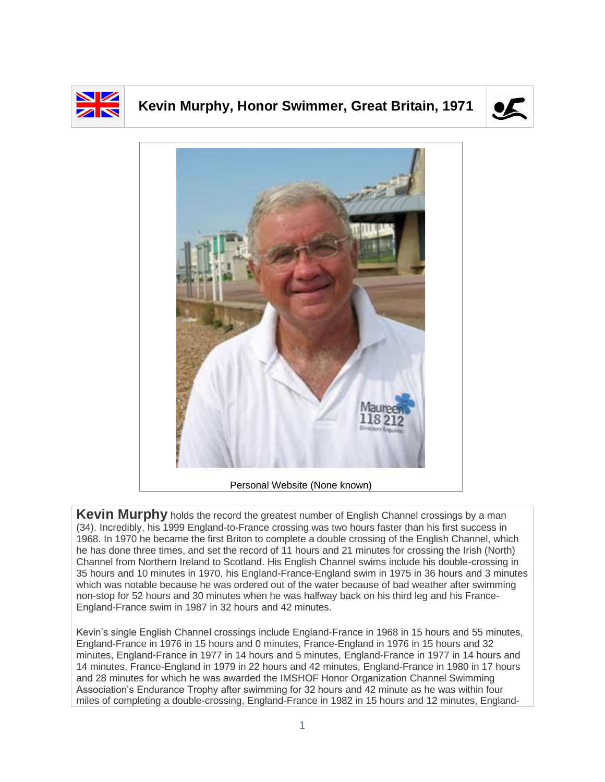

## **Kevin Murphy, Honor Swimmer, Great Britain, 1971**





**Kevin Murphy** holds the record the greatest number of English Channel crossings by a man (34). Incredibly, his 1999 England-to-France crossing was two hours faster than his first success in 1968. In 1970 he became the first Briton to complete a double crossing of the English Channel, which he has done three times, and set the record of 11 hours and 21 minutes for crossing the Irish (North) Channel from Northern Ireland to Scotland. His English Channel swims include his double-crossing in 35 hours and 10 minutes in 1970, his England-France-England swim in 1975 in 36 hours and 3 minutes which was notable because he was ordered out of the water because of bad weather after swimming non-stop for 52 hours and 30 minutes when he was halfway back on his third leg and his France-England-France swim in 1987 in 32 hours and 42 minutes.

Kevin's single English Channel crossings include England-France in 1968 in 15 hours and 55 minutes, England-France in 1976 in 15 hours and 0 minutes, France-England in 1976 in 15 hours and 32 minutes, England-France in 1977 in 14 hours and 5 minutes, England-France in 1977 in 14 hours and 14 minutes, France-England in 1979 in 22 hours and 42 minutes, England-France in 1980 in 17 hours and 28 minutes for which he was awarded the IMSHOF Honor Organization Channel Swimming Association's Endurance Trophy after swimming for 32 hours and 42 minute as he was within four miles of completing a double-crossing, England-France in 1982 in 15 hours and 12 minutes, England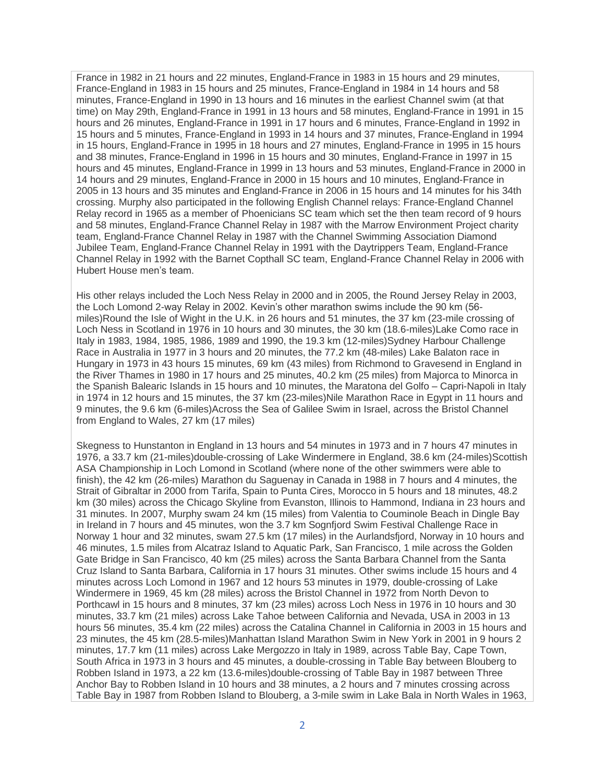France in 1982 in 21 hours and 22 minutes, England-France in 1983 in 15 hours and 29 minutes, France-England in 1983 in 15 hours and 25 minutes, France-England in 1984 in 14 hours and 58 minutes, France-England in 1990 in 13 hours and 16 minutes in the earliest Channel swim (at that time) on May 29th, England-France in 1991 in 13 hours and 58 minutes, England-France in 1991 in 15 hours and 26 minutes, England-France in 1991 in 17 hours and 6 minutes, France-England in 1992 in 15 hours and 5 minutes, France-England in 1993 in 14 hours and 37 minutes, France-England in 1994 in 15 hours, England-France in 1995 in 18 hours and 27 minutes, England-France in 1995 in 15 hours and 38 minutes, France-England in 1996 in 15 hours and 30 minutes, England-France in 1997 in 15 hours and 45 minutes, England-France in 1999 in 13 hours and 53 minutes, England-France in 2000 in 14 hours and 29 minutes, England-France in 2000 in 15 hours and 10 minutes, England-France in 2005 in 13 hours and 35 minutes and England-France in 2006 in 15 hours and 14 minutes for his 34th crossing. Murphy also participated in the following English Channel relays: France-England Channel Relay record in 1965 as a member of Phoenicians SC team which set the then team record of 9 hours and 58 minutes, England-France Channel Relay in 1987 with the Marrow Environment Project charity team, England-France Channel Relay in 1987 with the Channel Swimming Association Diamond Jubilee Team, England-France Channel Relay in 1991 with the Daytrippers Team, England-France Channel Relay in 1992 with the Barnet Copthall SC team, England-France Channel Relay in 2006 with Hubert House men's team.

His other relays included the Loch Ness Relay in 2000 and in 2005, the Round Jersey Relay in 2003, the Loch Lomond 2-way Relay in 2002. Kevin's other marathon swims include the 90 km (56 miles)Round the Isle of Wight in the U.K. in 26 hours and 51 minutes, the 37 km (23-mile crossing of Loch Ness in Scotland in 1976 in 10 hours and 30 minutes, the 30 km (18.6-miles)Lake Como race in Italy in 1983, 1984, 1985, 1986, 1989 and 1990, the 19.3 km (12-miles)Sydney Harbour Challenge Race in Australia in 1977 in 3 hours and 20 minutes, the 77.2 km (48-miles) Lake Balaton race in Hungary in 1973 in 43 hours 15 minutes, 69 km (43 miles) from Richmond to Gravesend in England in the River Thames in 1980 in 17 hours and 25 minutes, 40.2 km (25 miles) from Majorca to Minorca in the Spanish Balearic Islands in 15 hours and 10 minutes, the Maratona del Golfo – Capri-Napoli in Italy in 1974 in 12 hours and 15 minutes, the 37 km (23-miles)Nile Marathon Race in Egypt in 11 hours and 9 minutes, the 9.6 km (6-miles)Across the Sea of Galilee Swim in Israel, across the Bristol Channel from England to Wales, 27 km (17 miles)

Skegness to Hunstanton in England in 13 hours and 54 minutes in 1973 and in 7 hours 47 minutes in 1976, a 33.7 km (21-miles)double-crossing of Lake Windermere in England, 38.6 km (24-miles)Scottish ASA Championship in Loch Lomond in Scotland (where none of the other swimmers were able to finish), the 42 km (26-miles) Marathon du Saguenay in Canada in 1988 in 7 hours and 4 minutes, the Strait of Gibraltar in 2000 from Tarifa, Spain to Punta Cires, Morocco in 5 hours and 18 minutes, 48.2 km (30 miles) across the Chicago Skyline from Evanston, Illinois to Hammond, Indiana in 23 hours and 31 minutes. In 2007, Murphy swam 24 km (15 miles) from Valentia to Couminole Beach in Dingle Bay in Ireland in 7 hours and 45 minutes, won the 3.7 km Sognfjord Swim Festival Challenge Race in Norway 1 hour and 32 minutes, swam 27.5 km (17 miles) in the Aurlandsfjord, Norway in 10 hours and 46 minutes, 1.5 miles from Alcatraz Island to Aquatic Park, San Francisco, 1 mile across the Golden Gate Bridge in San Francisco, 40 km (25 miles) across the Santa Barbara Channel from the Santa Cruz Island to Santa Barbara, California in 17 hours 31 minutes. Other swims include 15 hours and 4 minutes across Loch Lomond in 1967 and 12 hours 53 minutes in 1979, double-crossing of Lake Windermere in 1969, 45 km (28 miles) across the Bristol Channel in 1972 from North Devon to Porthcawl in 15 hours and 8 minutes, 37 km (23 miles) across Loch Ness in 1976 in 10 hours and 30 minutes, 33.7 km (21 miles) across Lake Tahoe between California and Nevada, USA in 2003 in 13 hours 56 minutes, 35.4 km (22 miles) across the Catalina Channel in California in 2003 in 15 hours and 23 minutes, the 45 km (28.5-miles)Manhattan Island Marathon Swim in New York in 2001 in 9 hours 2 minutes, 17.7 km (11 miles) across Lake Mergozzo in Italy in 1989, across Table Bay, Cape Town, South Africa in 1973 in 3 hours and 45 minutes, a double-crossing in Table Bay between Blouberg to Robben Island in 1973, a 22 km (13.6-miles)double-crossing of Table Bay in 1987 between Three Anchor Bay to Robben Island in 10 hours and 38 minutes, a 2 hours and 7 minutes crossing across Table Bay in 1987 from Robben Island to Blouberg, a 3-mile swim in Lake Bala in North Wales in 1963,